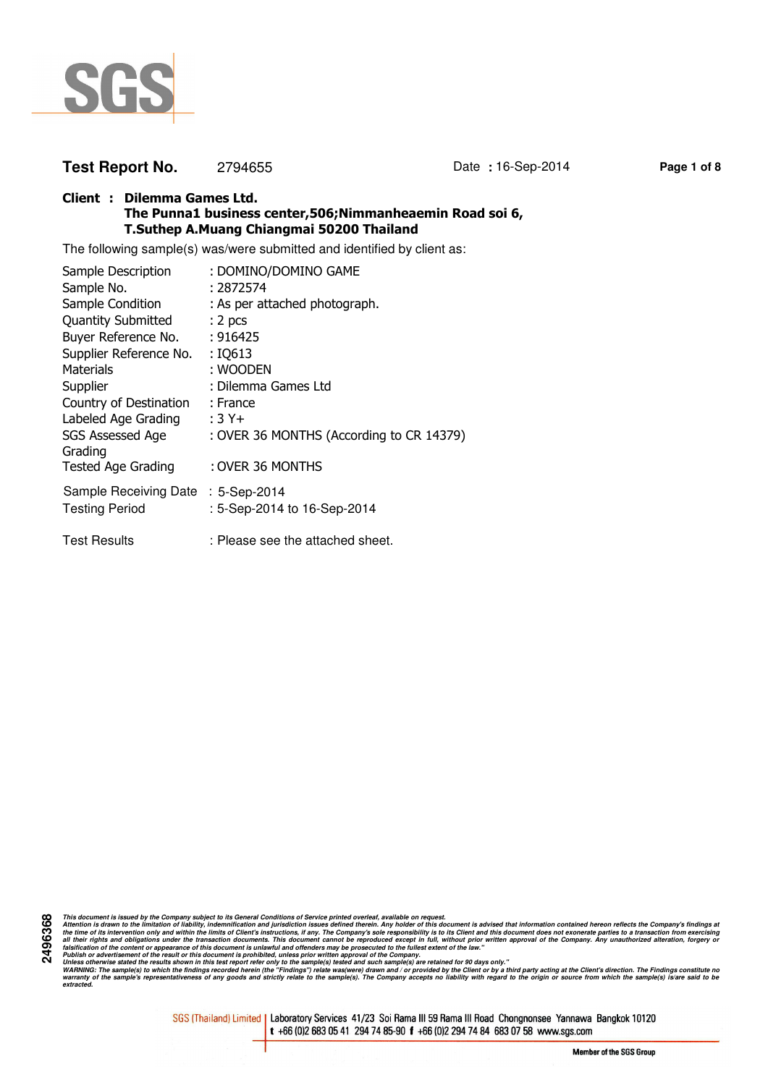

# **Test Report No.** 2794655 Date **:** 16-Sep-2014 **Page 1 of 8**

### **Client : Dilemma Games Ltd. The Punna1 business center,506;Nimmanheaemin Road soi 6, T.Suthep A.Muang Chiangmai 50200 Thailand**

The following sample(s) was/were submitted and identified by client as:

| Sample Description                 | : DOMINO/DOMINO GAME                     |
|------------------------------------|------------------------------------------|
| Sample No.                         | : 2872574                                |
| Sample Condition                   | : As per attached photograph.            |
| <b>Quantity Submitted</b>          | : 2 <sub>pcs</sub>                       |
| Buyer Reference No.                | : 916425                                 |
| Supplier Reference No.             | : IQ613                                  |
| Materials                          | : WOODEN                                 |
| Supplier                           | : Dilemma Games Ltd                      |
| Country of Destination             | : France                                 |
| Labeled Age Grading                | $:3Y+$                                   |
| SGS Assessed Age<br>Grading        | : OVER 36 MONTHS (According to CR 14379) |
| <b>Tested Age Grading</b>          | : OVER 36 MONTHS                         |
| Sample Receiving Date : 5-Sep-2014 |                                          |
| <b>Testing Period</b>              | : 5-Sep-2014 to 16-Sep-2014              |
| <b>Test Results</b>                | : Please see the attached sheet.         |

**2496368** This document is issued by the Company subject to its General Conditions of Service printed overled, available on regard.<br>Attention is drawn to the ilmitation of liability, indemnification and jurisdiction issues defined t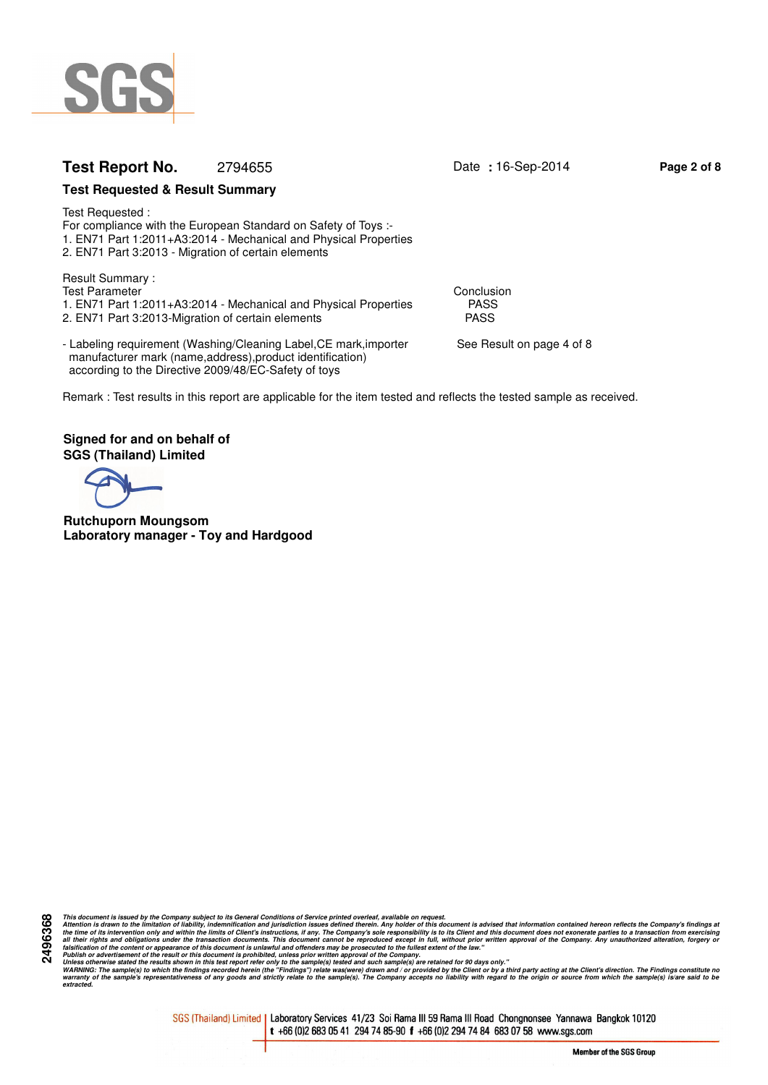

# **Test Report No.** 2794655 Date **:** 16-Sep-2014 **Page 2 of 8**

### **Test Requested & Result Summary**

Test Requested : For compliance with the European Standard on Safety of Toys :- 1. EN71 Part 1:2011+A3:2014 - Mechanical and Physical Properties 2. EN71 Part 3:2013 - Migration of certain elements

Result Summary : Test Parameter Conclusion<br>1. EN71 Part 1:2011+A3:2014 - Mechanical and Physical Properties FASS 1. EN71 Part 1:2011+A3:2014 - Mechanical and Physical Properties PASS<br>2. EN71 Part 3:2013-Migration of certain elements 2. EN71 Part 3:2013-Migration of certain elements

- Labeling requirement (Washing/Cleaning Label, CE mark, importer See Result on page 4 of 8 manufacturer mark (name,address),product identification) according to the Directive 2009/48/EC-Safety of toys

Remark : Test results in this report are applicable for the item tested and reflects the tested sample as received.

**Signed for and on behalf of SGS (Thailand) Limited**

**Rutchuporn Moungsom Laboratory manager - Toy and Hardgood**

This document is issued by the Company subject to its General Conditions of Service printed overled, available on regard.<br>Attention is drawn to the ilmitation of liability, indemnification and jurisdiction issues defined t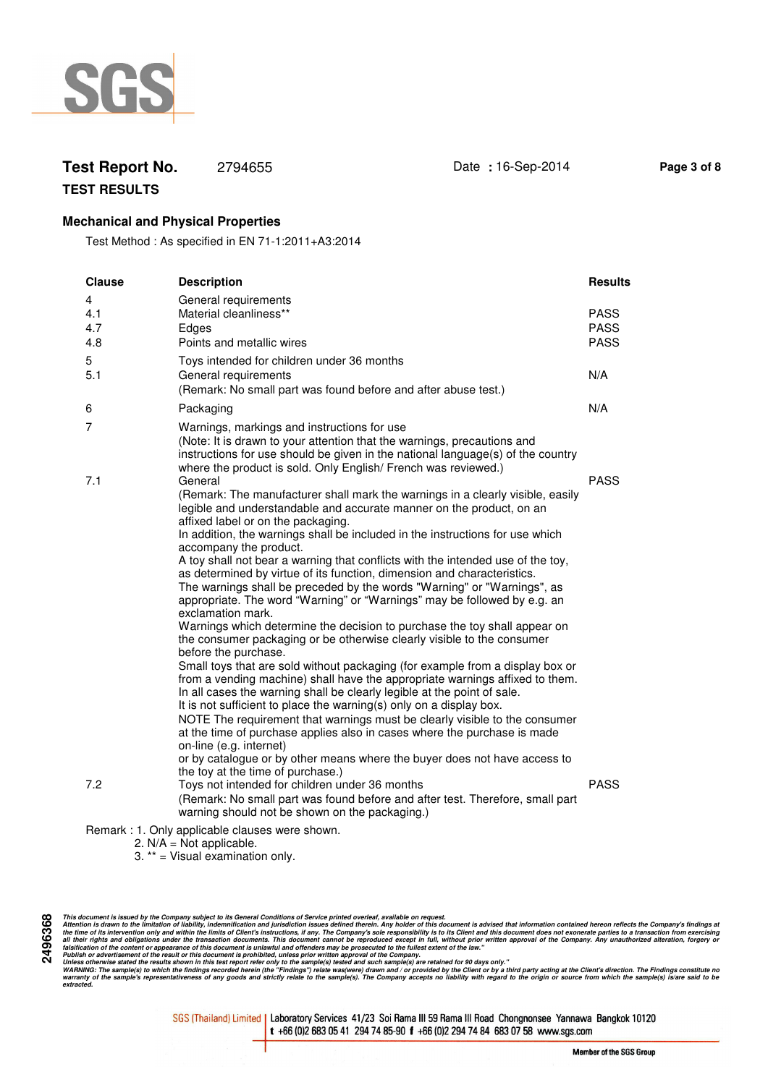

# **Test Report No.** 2794655 Date **:** 16-Sep-2014 **Page 3 of 8**

**TEST RESULTS**

## **Mechanical and Physical Properties**

Test Method : As specified in EN 71-1:2011+A3:2014

| <b>Clause</b>          | <b>Description</b>                                                                                                                                                                                                                                                                                                                                                                                                                                                                                                                                                                                                                                                                                                                                                                                                                                                                                                                                                                                                                                                                                                                                                                                                                                                                                                                                                                                                                                                    | <b>Results</b>                            |
|------------------------|-----------------------------------------------------------------------------------------------------------------------------------------------------------------------------------------------------------------------------------------------------------------------------------------------------------------------------------------------------------------------------------------------------------------------------------------------------------------------------------------------------------------------------------------------------------------------------------------------------------------------------------------------------------------------------------------------------------------------------------------------------------------------------------------------------------------------------------------------------------------------------------------------------------------------------------------------------------------------------------------------------------------------------------------------------------------------------------------------------------------------------------------------------------------------------------------------------------------------------------------------------------------------------------------------------------------------------------------------------------------------------------------------------------------------------------------------------------------------|-------------------------------------------|
| 4<br>4.1<br>4.7<br>4.8 | General requirements<br>Material cleanliness**<br>Edges<br>Points and metallic wires                                                                                                                                                                                                                                                                                                                                                                                                                                                                                                                                                                                                                                                                                                                                                                                                                                                                                                                                                                                                                                                                                                                                                                                                                                                                                                                                                                                  | <b>PASS</b><br><b>PASS</b><br><b>PASS</b> |
| 5<br>5.1               | Toys intended for children under 36 months<br>General requirements<br>(Remark: No small part was found before and after abuse test.)                                                                                                                                                                                                                                                                                                                                                                                                                                                                                                                                                                                                                                                                                                                                                                                                                                                                                                                                                                                                                                                                                                                                                                                                                                                                                                                                  | N/A                                       |
| 6                      | Packaging                                                                                                                                                                                                                                                                                                                                                                                                                                                                                                                                                                                                                                                                                                                                                                                                                                                                                                                                                                                                                                                                                                                                                                                                                                                                                                                                                                                                                                                             | N/A                                       |
| 7                      | Warnings, markings and instructions for use<br>(Note: It is drawn to your attention that the warnings, precautions and<br>instructions for use should be given in the national language(s) of the country<br>where the product is sold. Only English/ French was reviewed.)                                                                                                                                                                                                                                                                                                                                                                                                                                                                                                                                                                                                                                                                                                                                                                                                                                                                                                                                                                                                                                                                                                                                                                                           |                                           |
| 7.1                    | General<br>(Remark: The manufacturer shall mark the warnings in a clearly visible, easily<br>legible and understandable and accurate manner on the product, on an<br>affixed label or on the packaging.<br>In addition, the warnings shall be included in the instructions for use which<br>accompany the product.<br>A toy shall not bear a warning that conflicts with the intended use of the toy,<br>as determined by virtue of its function, dimension and characteristics.<br>The warnings shall be preceded by the words "Warning" or "Warnings", as<br>appropriate. The word "Warning" or "Warnings" may be followed by e.g. an<br>exclamation mark.<br>Warnings which determine the decision to purchase the toy shall appear on<br>the consumer packaging or be otherwise clearly visible to the consumer<br>before the purchase.<br>Small toys that are sold without packaging (for example from a display box or<br>from a vending machine) shall have the appropriate warnings affixed to them.<br>In all cases the warning shall be clearly legible at the point of sale.<br>It is not sufficient to place the warning(s) only on a display box.<br>NOTE The requirement that warnings must be clearly visible to the consumer<br>at the time of purchase applies also in cases where the purchase is made<br>on-line (e.g. internet)<br>or by catalogue or by other means where the buyer does not have access to<br>the toy at the time of purchase.) | <b>PASS</b>                               |
| 7.2                    | Toys not intended for children under 36 months<br>(Remark: No small part was found before and after test. Therefore, small part<br>warning should not be shown on the packaging.)                                                                                                                                                                                                                                                                                                                                                                                                                                                                                                                                                                                                                                                                                                                                                                                                                                                                                                                                                                                                                                                                                                                                                                                                                                                                                     | <b>PASS</b>                               |
|                        | Remark : 1. Only applicable clauses were shown.                                                                                                                                                                                                                                                                                                                                                                                                                                                                                                                                                                                                                                                                                                                                                                                                                                                                                                                                                                                                                                                                                                                                                                                                                                                                                                                                                                                                                       |                                           |

<sup>2.</sup>  $N/A = Not$  applicable.

3. \*\* = Visual examination only.

This document is issued by the Company subject to its General Conditions of Service printed overled, available on regard.<br>Attention is drawn to the ilmitation of liability, indemnification and jurisdiction issues defined t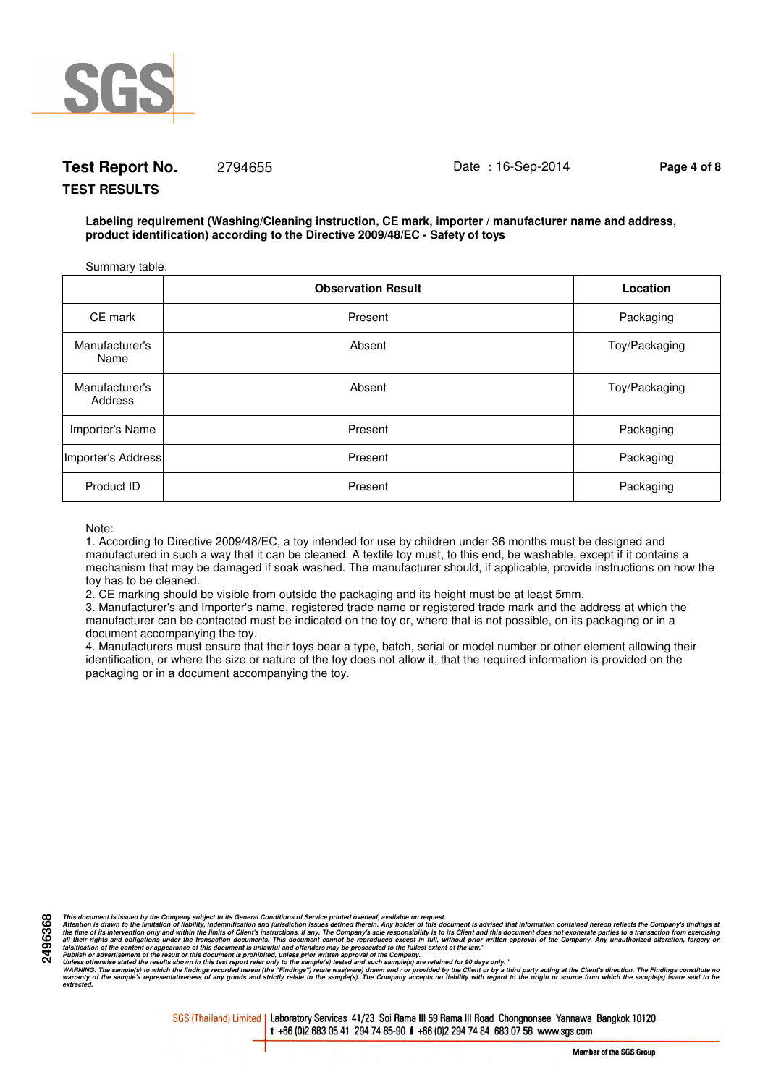

# **Test Report No.** 2794655 Date **:** 16-Sep-2014 **Page 4 of 8**

#### **TEST RESULTS**

**Labeling requirement (Washing/Cleaning instruction, CE mark, importer / manufacturer name and address, product identification) according to the Directive 2009/48/EC - Safety of toys**

| Summary table:            |                           |               |
|---------------------------|---------------------------|---------------|
|                           | <b>Observation Result</b> | Location      |
| CE mark                   | Present                   | Packaging     |
| Manufacturer's<br>Name    | Absent                    | Toy/Packaging |
| Manufacturer's<br>Address | Absent                    | Toy/Packaging |
| Importer's Name           | Present                   | Packaging     |
| Importer's Address        | Present                   | Packaging     |
| Product ID                | Present                   | Packaging     |

Note:

**2496368**

1. According to Directive 2009/48/EC, a toy intended for use by children under 36 months must be designed and manufactured in such a way that it can be cleaned. A textile toy must, to this end, be washable, except if it contains a mechanism that may be damaged if soak washed. The manufacturer should, if applicable, provide instructions on how the toy has to be cleaned.

2. CE marking should be visible from outside the packaging and its height must be at least 5mm.

3. Manufacturer's and Importer's name, registered trade name or registered trade mark and the address at which the manufacturer can be contacted must be indicated on the toy or, where that is not possible, on its packaging or in a document accompanying the toy.

4. Manufacturers must ensure that their toys bear a type, batch, serial or model number or other element allowing their identification, or where the size or nature of the toy does not allow it, that the required information is provided on the packaging or in a document accompanying the toy.

This document is issued by the Company subject to its General Conditions of Service printed overled, available on regard.<br>Attention is drawn to the ilmitation of liability, indemnification and jurisdiction issues defined t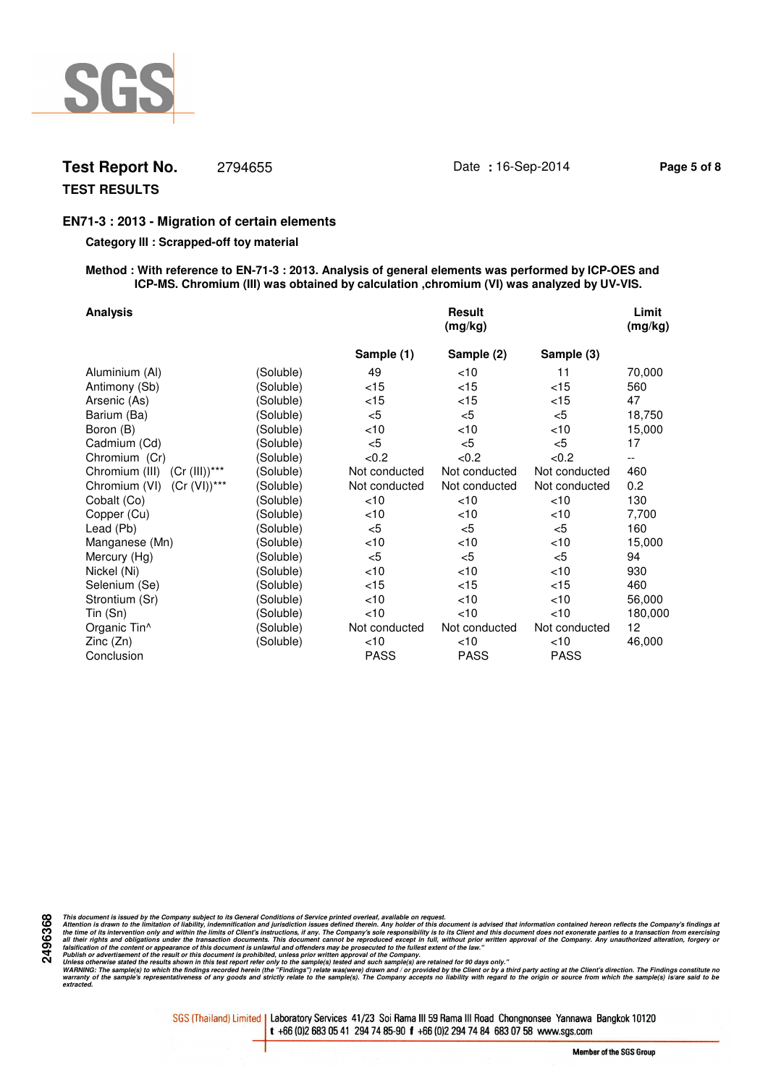

## **Test Report No.** 2794655 Date **:** 16-Sep-2014 **Page 5 of 8**

## **TEST RESULTS**

## **EN71-3 : 2013 - Migration of certain elements**

#### **Category III : Scrapped-off toy material**

#### **Method : With reference to EN-71-3 : 2013. Analysis of general elements was performed by ICP-OES and ICP-MS. Chromium (III) was obtained by calculation ,chromium (VI) was analyzed by UV-VIS.**

| <b>Analysis</b>                  |           |               | <b>Result</b><br>(mg/kg) |               | Limit<br>(mg/kg)         |
|----------------------------------|-----------|---------------|--------------------------|---------------|--------------------------|
|                                  |           | Sample (1)    | Sample (2)               | Sample (3)    |                          |
| Aluminium (Al)                   | (Soluble) | 49            | $<$ 10                   | 11            | 70,000                   |
| Antimony (Sb)                    | (Soluble) | < 15          | $<$ 15                   | $<$ 15        | 560                      |
| Arsenic (As)                     | (Soluble) | $<$ 15        | < 15                     | $<$ 15        | 47                       |
| Barium (Ba)                      | (Soluble) | $<$ 5         | $<$ 5                    | $<$ 5         | 18,750                   |
| Boron (B)                        | (Soluble) | < 10          | $<$ 10                   | ~10           | 15,000                   |
| Cadmium (Cd)                     | (Soluble) | $<$ 5         | < 5                      | < 5           | 17                       |
| Chromium (Cr)                    | (Soluble) | < 0.2         | < 0.2                    | < 0.2         | $\overline{\phantom{a}}$ |
| Chromium (III) (Cr (III))***     | (Soluble) | Not conducted | Not conducted            | Not conducted | 460                      |
| $(Cr (VI))$ ***<br>Chromium (VI) | (Soluble) | Not conducted | Not conducted            | Not conducted | 0.2                      |
| Cobalt (Co)                      | (Soluble) | $<$ 10        | $<$ 10                   | $<$ 10        | 130                      |
| Copper (Cu)                      | (Soluble) | <10           | $<$ 10                   | $<$ 10        | 7,700                    |
| Lead (Pb)                        | (Soluble) | $<$ 5         | $<$ 5                    | $<$ 5         | 160                      |
| Manganese (Mn)                   | (Soluble) | <10           | $<$ 10                   | $<$ 10        | 15,000                   |
| Mercury (Hg)                     | (Soluble) | $<$ 5         | $<$ 5                    | $<$ 5         | 94                       |
| Nickel (Ni)                      | (Soluble) | <10           | $<$ 10                   | $<$ 10        | 930                      |
| Selenium (Se)                    | (Soluble) | < 15          | < 15                     | $<$ 15        | 460                      |
| Strontium (Sr)                   | (Soluble) | < 10          | $<$ 10                   | <10           | 56,000                   |
| Tin (Sn)                         | (Soluble) | $<$ 10        | $<$ 10                   | $<$ 10        | 180,000                  |
| Organic Tin^                     | (Soluble) | Not conducted | Not conducted            | Not conducted | 12                       |
| Zinc(Zn)                         | (Soluble) | $<$ 10        | $<$ 10                   | <10           | 46,000                   |
| Conclusion                       |           | <b>PASS</b>   | <b>PASS</b>              | PASS          |                          |

**2496368**

This document is issued by the Company subject to its General Conditions of Service printed overled, available on regard.<br>Attention is drawn to the ilmitation of liability, indemnification and jurisdiction issues defined t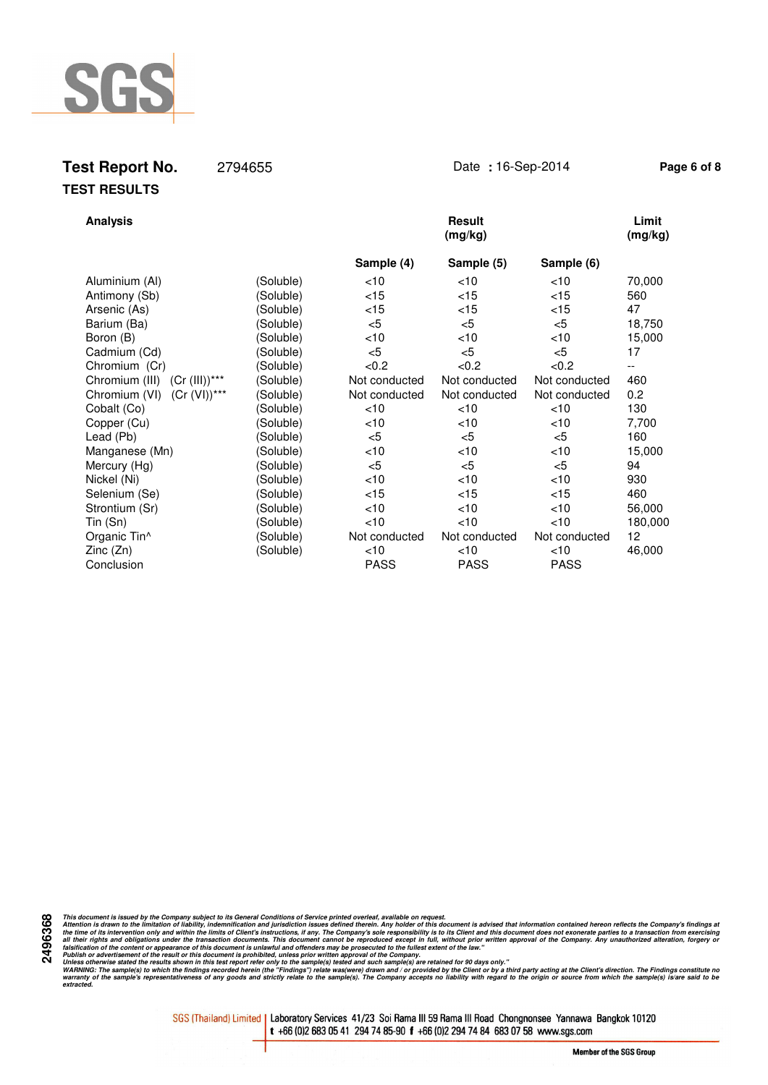

# **Test Report No.** 2794655 Date **:** 16-Sep-2014 **Page 6 of 8 TEST RESULTS**

| <b>Analysis</b>                    |           |               | <b>Result</b><br>(mg/kg) |               | Limit<br>(mg/kg) |
|------------------------------------|-----------|---------------|--------------------------|---------------|------------------|
|                                    |           | Sample (4)    | Sample (5)               | Sample (6)    |                  |
| Aluminium (Al)                     | (Soluble) | < 10          | <10                      | $<$ 10        | 70,000           |
| Antimony (Sb)                      | (Soluble) | < 15          | $<$ 15                   | $<$ 15        | 560              |
| Arsenic (As)                       | (Soluble) | < 15          | $<$ 15                   | $<$ 15        | 47               |
| Barium (Ba)                        | (Soluble) | $<$ 5         | $<$ 5                    | $<$ 5         | 18,750           |
| Boron (B)                          | (Soluble) | <10           | <10                      | $<$ 10        | 15,000           |
| Cadmium (Cd)                       | (Soluble) | $<$ 5         | $<$ 5                    | $<$ 5         | 17               |
| Chromium (Cr)                      | (Soluble) | <0.2          | <0.2                     | < 0.2         | --               |
| $(Cr (III))$ ***<br>Chromium (III) | (Soluble) | Not conducted | Not conducted            | Not conducted | 460              |
| $(Cr (VI))^{***}$<br>Chromium (VI) | (Soluble) | Not conducted | Not conducted            | Not conducted | 0.2              |
| Cobalt (Co)                        | (Soluble) | <10           | < 10                     | < 10          | 130              |
| Copper (Cu)                        | (Soluble) | $<$ 10        | <10                      | < 10          | 7,700            |
| Lead (Pb)                          | (Soluble) | $<$ 5         | $5$                      | $<$ 5         | 160              |
| Manganese (Mn)                     | (Soluble) | <10           | <10                      | $<$ 10        | 15,000           |
| Mercury (Hg)                       | (Soluble) | $<$ 5         | $<$ 5                    | $<$ 5         | 94               |
| Nickel (Ni)                        | (Soluble) | < 10          | <10                      | $<$ 10        | 930              |
| Selenium (Se)                      | (Soluble) | < 15          | $<$ 15                   | $<$ 15        | 460              |
| Strontium (Sr)                     | (Soluble) | < 10          | < 10                     | < 10          | 56,000           |
| Tin (Sn)                           | (Soluble) | <10           | < 10                     | < 10          | 180,000          |
| Organic Tin <sup>^</sup>           | (Soluble) | Not conducted | Not conducted            | Not conducted | 12 <sub>2</sub>  |
| Zinc(Zn)                           | (Soluble) | $<$ 10        | $<$ 10                   | $<$ 10        | 46,000           |
| Conclusion                         |           | <b>PASS</b>   | <b>PASS</b>              | <b>PASS</b>   |                  |

**2496368**

This document is issued by the Company subject to its General Conditions of Service printed overled, available on regard.<br>Attention is drawn to the ilmitation of liability, indemnification and jurisdiction issues defined t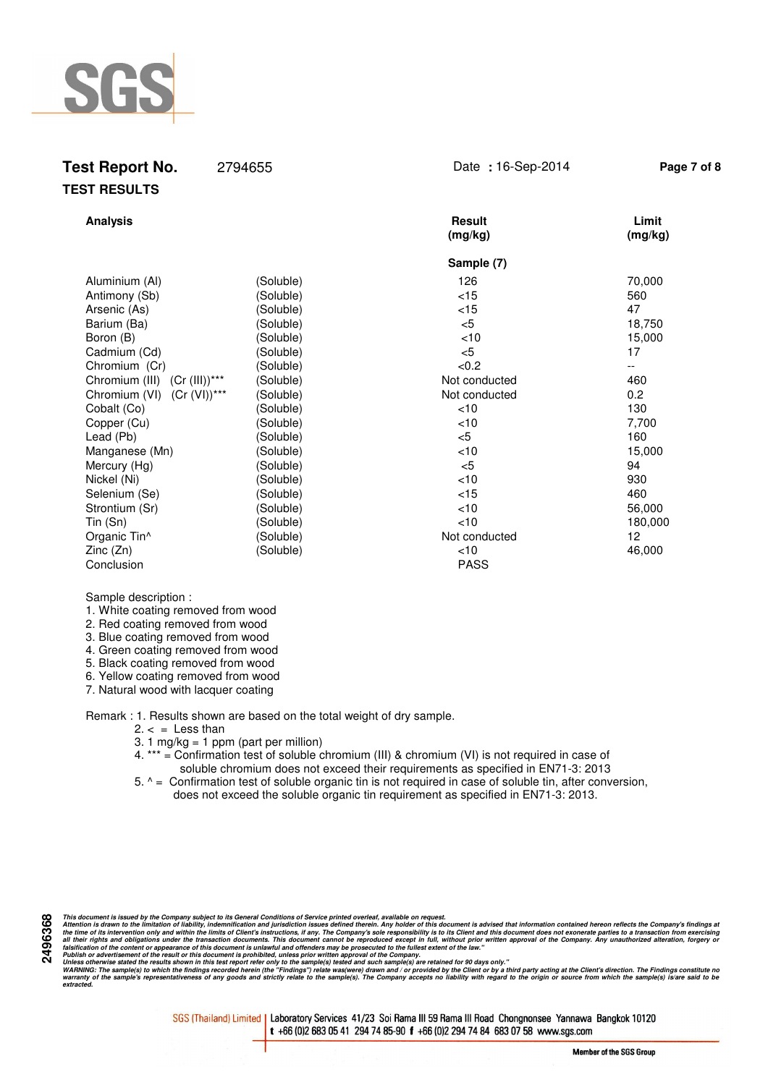

| 2794655                                                                                                                                                                                                                                             | Date: 16-Sep-2014                                                                                                                                                                        | Page 7 of 8                                                                                                                                           |
|-----------------------------------------------------------------------------------------------------------------------------------------------------------------------------------------------------------------------------------------------------|------------------------------------------------------------------------------------------------------------------------------------------------------------------------------------------|-------------------------------------------------------------------------------------------------------------------------------------------------------|
|                                                                                                                                                                                                                                                     | <b>Result</b><br>(mg/kg)                                                                                                                                                                 | Limit<br>(mg/kg)                                                                                                                                      |
|                                                                                                                                                                                                                                                     | Sample (7)                                                                                                                                                                               |                                                                                                                                                       |
| (Soluble)<br>(Soluble)<br>(Soluble)<br>(Soluble)<br>(Soluble)<br>(Soluble)<br>(Soluble)<br>(Soluble)<br>(Soluble)<br>(Soluble)<br>(Soluble)<br>(Soluble)<br>(Soluble)<br>(Soluble)<br>(Soluble)<br>(Soluble)<br>(Soluble)<br>(Soluble)<br>(Soluble) | 126<br>< 15<br>< 15<br>$<$ 5<br>< 10<br>$<$ 5<br>< 0.2<br>Not conducted<br>Not conducted<br>< 10<br>< 10<br>< 5<br>< 10<br>$<$ 5<br>< 10<br>< 15<br>< 10<br><10<br>Not conducted<br>< 10 | 70,000<br>560<br>47<br>18,750<br>15,000<br>17<br>460<br>0.2<br>130<br>7,700<br>160<br>15,000<br>94<br>930<br>460<br>56,000<br>180,000<br>12<br>46,000 |
|                                                                                                                                                                                                                                                     | (Soluble)                                                                                                                                                                                | <b>PASS</b>                                                                                                                                           |

#### Sample description :

1. White coating removed from wood

- 2. Red coating removed from wood
- 3. Blue coating removed from wood
- 4. Green coating removed from wood
- 5. Black coating removed from wood
- 6. Yellow coating removed from wood
- 7. Natural wood with lacquer coating

Remark : 1. Results shown are based on the total weight of dry sample.

- $2. < =$  Less than
- 3. 1 mg/kg = 1 ppm (part per million)

 4. \*\*\* = Confirmation test of soluble chromium (III) & chromium (VI) is not required in case of soluble chromium does not exceed their requirements as specified in EN71-3: 2013

 5. ^ = Confirmation test of soluble organic tin is not required in case of soluble tin, after conversion, does not exceed the soluble organic tin requirement as specified in EN71-3: 2013.

This document is issued by the Company subject to its General Conditions of Service printed overled, available on regard.<br>Attention is drawn to the ilmitation of liability, indemnification and jurisdiction issues defined t